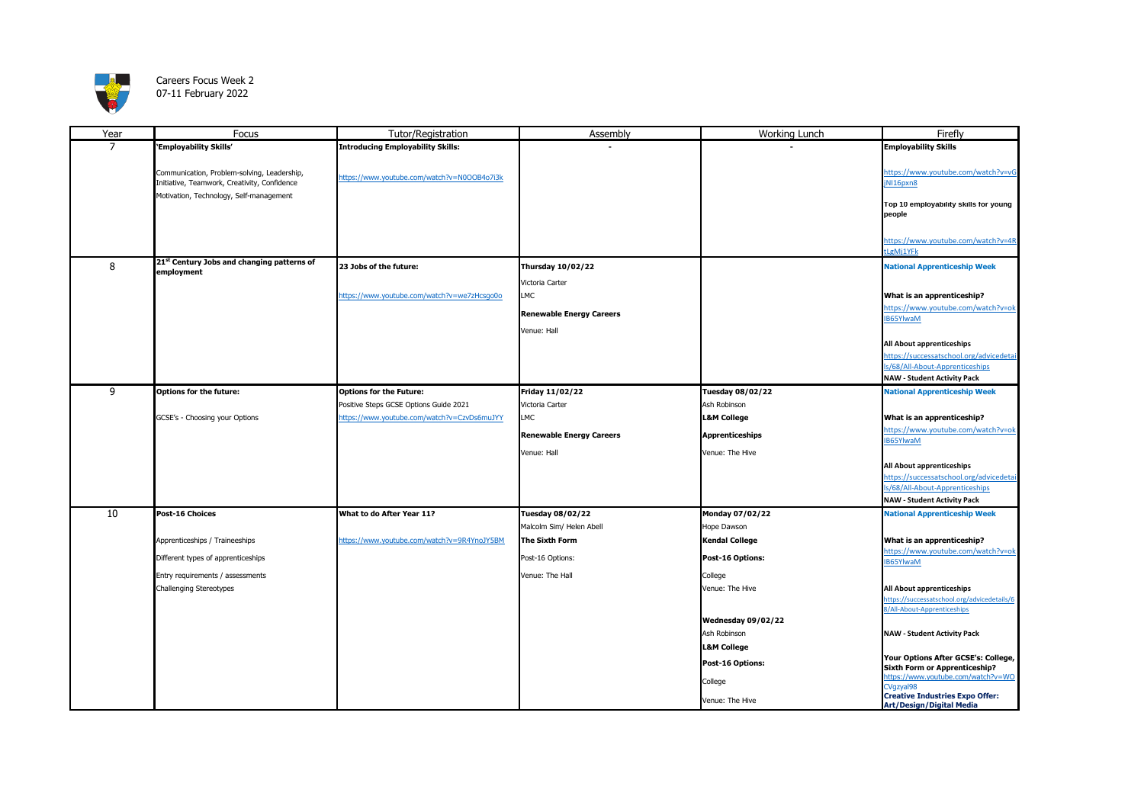

## Careers Focus Week 2 07-11 February 2022

| Year           | Focus                                                  | Tutor/Registration                          | Assembly                        | Working Lunch          | Firefly                                             |
|----------------|--------------------------------------------------------|---------------------------------------------|---------------------------------|------------------------|-----------------------------------------------------|
| $\overline{7}$ | 'Employability Skills'                                 | <b>Introducing Employability Skills:</b>    |                                 |                        | <b>Employability Skills</b>                         |
|                |                                                        |                                             |                                 |                        |                                                     |
|                | Communication, Problem-solving, Leadership,            |                                             |                                 |                        | https://www.youtube.com/watch?v=vG                  |
|                | Initiative, Teamwork, Creativity, Confidence           | https://www.youtube.com/watch?v=N0OOB4o7i3k |                                 |                        | jNI16pxn8                                           |
|                | Motivation, Technology, Self-management                |                                             |                                 |                        |                                                     |
|                |                                                        |                                             |                                 |                        | Top 10 employability skills for young               |
|                |                                                        |                                             |                                 |                        | people                                              |
|                |                                                        |                                             |                                 |                        |                                                     |
|                |                                                        |                                             |                                 |                        | https://www.youtube.com/watch?v=4R                  |
|                |                                                        |                                             |                                 |                        | LgMj1YFk                                            |
| 8              | 21 <sup>st</sup> Century Jobs and changing patterns of | 23 Jobs of the future:                      | <b>Thursday 10/02/22</b>        |                        | <b>National Apprenticeship Week</b>                 |
|                | employment                                             |                                             |                                 |                        |                                                     |
|                |                                                        |                                             | Victoria Carter                 |                        |                                                     |
|                |                                                        | https://www.youtube.com/watch?v=we7zHcsgo0o | LMC                             |                        | What is an apprenticeship?                          |
|                |                                                        |                                             | <b>Renewable Energy Careers</b> |                        | https://www.youtube.com/watch?v=ok                  |
|                |                                                        |                                             |                                 |                        | IB65YlwaM                                           |
|                |                                                        |                                             | Venue: Hall                     |                        |                                                     |
|                |                                                        |                                             |                                 |                        | All About apprenticeships                           |
|                |                                                        |                                             |                                 |                        | https://successatschool.org/advicedetai             |
|                |                                                        |                                             |                                 |                        | ls/68/All-About-Apprenticeships                     |
|                |                                                        |                                             |                                 |                        | <b>NAW - Student Activity Pack</b>                  |
| 9              | <b>Options for the future:</b>                         | <b>Options for the Future:</b>              | Friday 11/02/22                 | Tuesday 08/02/22       | <b>National Apprenticeship Week</b>                 |
|                |                                                        | Positive Steps GCSE Options Guide 2021      | Victoria Carter                 | Ash Robinson           |                                                     |
|                | GCSE's - Choosing your Options                         | https://www.youtube.com/watch?v=CzvDs6muJYY | <b>LMC</b>                      | <b>L&amp;M College</b> | What is an apprenticeship?                          |
|                |                                                        |                                             |                                 |                        | https://www.youtube.com/watch?v=ok                  |
|                |                                                        |                                             | <b>Renewable Energy Careers</b> | <b>Apprenticeships</b> | <b>IB65YlwaM</b>                                    |
|                |                                                        |                                             | Venue: Hall                     | Venue: The Hive        |                                                     |
|                |                                                        |                                             |                                 |                        | All About apprenticeships                           |
|                |                                                        |                                             |                                 |                        | https://successatschool.org/advicedetai             |
|                |                                                        |                                             |                                 |                        | ls/68/All-About-Apprenticeships                     |
|                |                                                        |                                             |                                 |                        | <b>NAW - Student Activity Pack</b>                  |
| 10             | Post-16 Choices                                        | What to do After Year 11?                   | <b>Tuesday 08/02/22</b>         | Monday 07/02/22        | <b>National Apprenticeship Week</b>                 |
|                |                                                        |                                             | Malcolm Sim/ Helen Abell        | Hope Dawson            |                                                     |
|                | Apprenticeships / Traineeships                         | https://www.youtube.com/watch?v=9R4YnoJY5BM | The Sixth Form                  | Kendal College         | What is an apprenticeship?                          |
|                |                                                        |                                             |                                 |                        | https://www.youtube.com/watch?v=ok                  |
|                | Different types of apprenticeships                     |                                             | Post-16 Options:                | Post-16 Options:       | IB65YlwaM                                           |
|                | Entry requirements / assessments                       |                                             | Venue: The Hall                 | College                |                                                     |
|                | Challenging Stereotypes                                |                                             |                                 | Venue: The Hive        | All About apprenticeships                           |
|                |                                                        |                                             |                                 |                        | https://successatschool.org/advicedetails/6         |
|                |                                                        |                                             |                                 |                        | 8/All-About-Apprenticeships                         |
|                |                                                        |                                             |                                 | Wednesday 09/02/22     |                                                     |
|                |                                                        |                                             |                                 | Ash Robinson           | <b>NAW - Student Activity Pack</b>                  |
|                |                                                        |                                             |                                 | <b>L&amp;M College</b> |                                                     |
|                |                                                        |                                             |                                 |                        | Your Options After GCSE's: College,                 |
|                |                                                        |                                             |                                 | Post-16 Options:       | <b>Sixth Form or Apprenticeship?</b>                |
|                |                                                        |                                             |                                 | College                | https://www.youtube.com/watch?v=WO                  |
|                |                                                        |                                             |                                 |                        | CVgzval98<br><b>Creative Industries Expo Offer:</b> |
|                |                                                        |                                             |                                 | Venue: The Hive        | <b>Art/Design/Digital Media</b>                     |